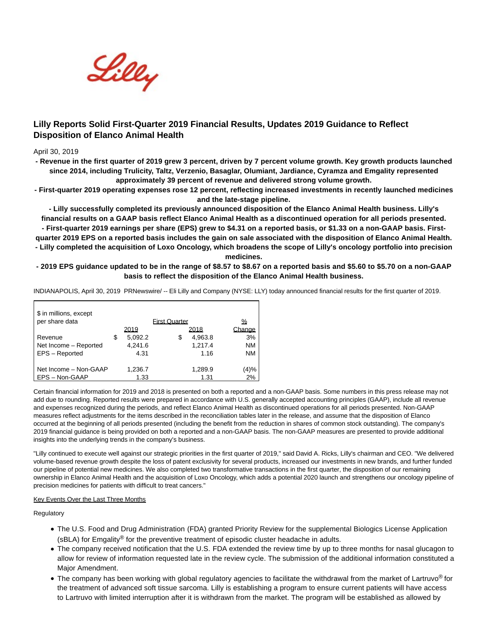

# **Lilly Reports Solid First-Quarter 2019 Financial Results, Updates 2019 Guidance to Reflect Disposition of Elanco Animal Health**

# April 30, 2019

**- Revenue in the first quarter of 2019 grew 3 percent, driven by 7 percent volume growth. Key growth products launched since 2014, including Trulicity, Taltz, Verzenio, Basaglar, Olumiant, Jardiance, Cyramza and Emgality represented approximately 39 percent of revenue and delivered strong volume growth.**

**- First-quarter 2019 operating expenses rose 12 percent, reflecting increased investments in recently launched medicines and the late-stage pipeline.**

**- Lilly successfully completed its previously announced disposition of the Elanco Animal Health business. Lilly's financial results on a GAAP basis reflect Elanco Animal Health as a discontinued operation for all periods presented.**

**- First-quarter 2019 earnings per share (EPS) grew to \$4.31 on a reported basis, or \$1.33 on a non-GAAP basis. Firstquarter 2019 EPS on a reported basis includes the gain on sale associated with the disposition of Elanco Animal Health. - Lilly completed the acquisition of Loxo Oncology, which broadens the scope of Lilly's oncology portfolio into precision**

**medicines.**

# **- 2019 EPS guidance updated to be in the range of \$8.57 to \$8.67 on a reported basis and \$5.60 to \$5.70 on a non-GAAP basis to reflect the disposition of the Elanco Animal Health business.**

INDIANAPOLIS, April 30, 2019 PRNewswire/ -- Eli Lilly and Company (NYSE: LLY) today announced financial results for the first quarter of 2019.

| \$ in millions, except<br>per share data |               | <b>Eirst Quarter</b> |         | ℆         |
|------------------------------------------|---------------|----------------------|---------|-----------|
|                                          | 2019          |                      | 2018    | Change    |
| Revenue                                  | \$<br>5.092.2 | S                    | 4,963.8 | 3%        |
| Net Income - Reported                    | 4,241.6       |                      | 1,217.4 | <b>NM</b> |
| EPS - Reported                           | 4.31          |                      | 1.16    | <b>NM</b> |
| Net Income - Non-GAAP                    | 1,236.7       |                      | 1,289.9 | (4)%      |
| EPS-Non-GAAP                             | 1.33          |                      | 1.31    | 2%        |

Certain financial information for 2019 and 2018 is presented on both a reported and a non-GAAP basis. Some numbers in this press release may not add due to rounding. Reported results were prepared in accordance with U.S. generally accepted accounting principles (GAAP), include all revenue and expenses recognized during the periods, and reflect Elanco Animal Health as discontinued operations for all periods presented. Non-GAAP measures reflect adjustments for the items described in the reconciliation tables later in the release, and assume that the disposition of Elanco occurred at the beginning of all periods presented (including the benefit from the reduction in shares of common stock outstanding). The company's 2019 financial guidance is being provided on both a reported and a non-GAAP basis. The non-GAAP measures are presented to provide additional insights into the underlying trends in the company's business.

"Lilly continued to execute well against our strategic priorities in the first quarter of 2019," said David A. Ricks, Lilly's chairman and CEO. "We delivered volume-based revenue growth despite the loss of patent exclusivity for several products, increased our investments in new brands, and further funded our pipeline of potential new medicines. We also completed two transformative transactions in the first quarter, the disposition of our remaining ownership in Elanco Animal Health and the acquisition of Loxo Oncology, which adds a potential 2020 launch and strengthens our oncology pipeline of precision medicines for patients with difficult to treat cancers."

# Key Events Over the Last Three Months

Regulatory

- The U.S. Food and Drug Administration (FDA) granted Priority Review for the supplemental Biologics License Application (sBLA) for Emgality® for the preventive treatment of episodic cluster headache in adults.
- The company received notification that the U.S. FDA extended the review time by up to three months for nasal glucagon to allow for review of information requested late in the review cycle. The submission of the additional information constituted a Major Amendment.
- The company has been working with global regulatory agencies to facilitate the withdrawal from the market of Lartruvo<sup>®</sup> for the treatment of advanced soft tissue sarcoma. Lilly is establishing a program to ensure current patients will have access to Lartruvo with limited interruption after it is withdrawn from the market. The program will be established as allowed by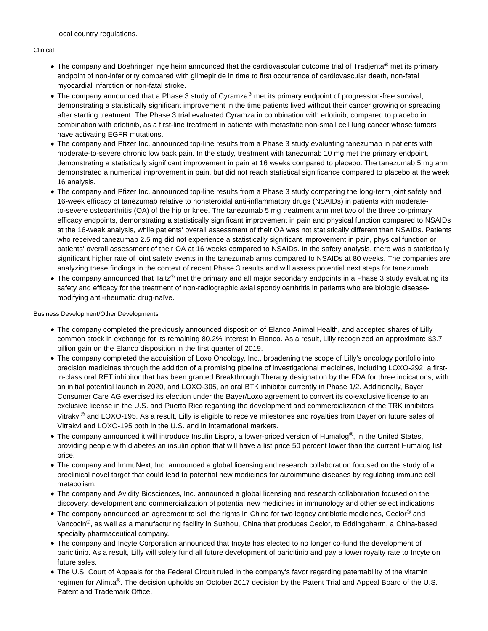local country regulations.

# Clinical

- The company and Boehringer Ingelheim announced that the cardiovascular outcome trial of Tradjenta® met its primary endpoint of non-inferiority compared with glimepiride in time to first occurrence of cardiovascular death, non-fatal myocardial infarction or non-fatal stroke.
- The company announced that a Phase 3 study of Cyramza<sup>®</sup> met its primary endpoint of progression-free survival, demonstrating a statistically significant improvement in the time patients lived without their cancer growing or spreading after starting treatment. The Phase 3 trial evaluated Cyramza in combination with erlotinib, compared to placebo in combination with erlotinib, as a first-line treatment in patients with metastatic non-small cell lung cancer whose tumors have activating EGFR mutations.
- The company and Pfizer Inc. announced top-line results from a Phase 3 study evaluating tanezumab in patients with moderate-to-severe chronic low back pain. In the study, treatment with tanezumab 10 mg met the primary endpoint, demonstrating a statistically significant improvement in pain at 16 weeks compared to placebo. The tanezumab 5 mg arm demonstrated a numerical improvement in pain, but did not reach statistical significance compared to placebo at the week 16 analysis.
- The company and Pfizer Inc. announced top-line results from a Phase 3 study comparing the long-term joint safety and 16-week efficacy of tanezumab relative to nonsteroidal anti-inflammatory drugs (NSAIDs) in patients with moderateto-severe osteoarthritis (OA) of the hip or knee. The tanezumab 5 mg treatment arm met two of the three co-primary efficacy endpoints, demonstrating a statistically significant improvement in pain and physical function compared to NSAIDs at the 16-week analysis, while patients' overall assessment of their OA was not statistically different than NSAIDs. Patients who received tanezumab 2.5 mg did not experience a statistically significant improvement in pain, physical function or patients' overall assessment of their OA at 16 weeks compared to NSAIDs. In the safety analysis, there was a statistically significant higher rate of joint safety events in the tanezumab arms compared to NSAIDs at 80 weeks. The companies are analyzing these findings in the context of recent Phase 3 results and will assess potential next steps for tanezumab.
- The company announced that Taltz® met the primary and all major secondary endpoints in a Phase 3 study evaluating its safety and efficacy for the treatment of non-radiographic axial spondyloarthritis in patients who are biologic diseasemodifying anti-rheumatic drug-naïve.

Business Development/Other Developments

- The company completed the previously announced disposition of Elanco Animal Health, and accepted shares of Lilly common stock in exchange for its remaining 80.2% interest in Elanco. As a result, Lilly recognized an approximate \$3.7 billion gain on the Elanco disposition in the first quarter of 2019.
- The company completed the acquisition of Loxo Oncology, Inc., broadening the scope of Lilly's oncology portfolio into precision medicines through the addition of a promising pipeline of investigational medicines, including LOXO-292, a firstin-class oral RET inhibitor that has been granted Breakthrough Therapy designation by the FDA for three indications, with an initial potential launch in 2020, and LOXO-305, an oral BTK inhibitor currently in Phase 1/2. Additionally, Bayer Consumer Care AG exercised its election under the Bayer/Loxo agreement to convert its co-exclusive license to an exclusive license in the U.S. and Puerto Rico regarding the development and commercialization of the TRK inhibitors Vitrakvi® and LOXO-195. As a result, Lilly is eligible to receive milestones and royalties from Bayer on future sales of Vitrakvi and LOXO-195 both in the U.S. and in international markets.
- The company announced it will introduce Insulin Lispro, a lower-priced version of Humalog®, in the United States, providing people with diabetes an insulin option that will have a list price 50 percent lower than the current Humalog list price.
- The company and ImmuNext, Inc. announced a global licensing and research collaboration focused on the study of a preclinical novel target that could lead to potential new medicines for autoimmune diseases by regulating immune cell metabolism.
- The company and Avidity Biosciences, Inc. announced a global licensing and research collaboration focused on the discovery, development and commercialization of potential new medicines in immunology and other select indications.
- The company announced an agreement to sell the rights in China for two legacy antibiotic medicines, Ceclor<sup>®</sup> and Vancocin<sup>®</sup>, as well as a manufacturing facility in Suzhou, China that produces Ceclor, to Eddingpharm, a China-based specialty pharmaceutical company.
- The company and Incyte Corporation announced that Incyte has elected to no longer co-fund the development of baricitinib. As a result, Lilly will solely fund all future development of baricitinib and pay a lower royalty rate to Incyte on future sales.
- The U.S. Court of Appeals for the Federal Circuit ruled in the company's favor regarding patentability of the vitamin regimen for Alimta®. The decision upholds an October 2017 decision by the Patent Trial and Appeal Board of the U.S. Patent and Trademark Office.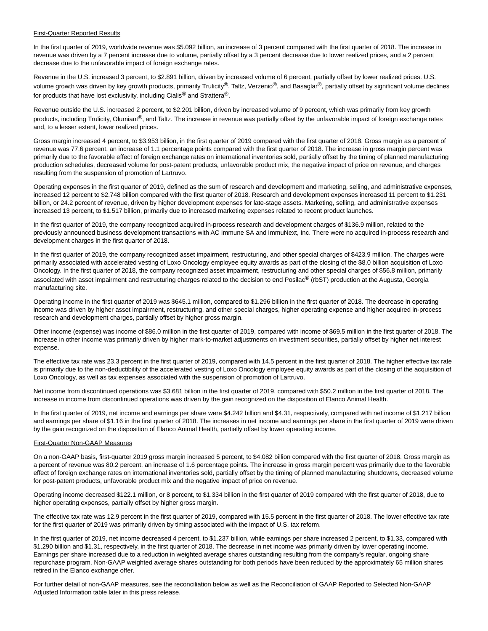# First-Quarter Reported Results

In the first quarter of 2019, worldwide revenue was \$5.092 billion, an increase of 3 percent compared with the first quarter of 2018. The increase in revenue was driven by a 7 percent increase due to volume, partially offset by a 3 percent decrease due to lower realized prices, and a 2 percent decrease due to the unfavorable impact of foreign exchange rates.

Revenue in the U.S. increased 3 percent, to \$2.891 billion, driven by increased volume of 6 percent, partially offset by lower realized prices. U.S. volume growth was driven by key growth products, primarily Trulicity®, Taltz, Verzenio®, and Basaglar®, partially offset by significant volume declines for products that have lost exclusivity, including Cialis® and Strattera®.

Revenue outside the U.S. increased 2 percent, to \$2.201 billion, driven by increased volume of 9 percent, which was primarily from key growth products, including Trulicity, Olumiant®, and Taltz. The increase in revenue was partially offset by the unfavorable impact of foreign exchange rates and, to a lesser extent, lower realized prices.

Gross margin increased 4 percent, to \$3.953 billion, in the first quarter of 2019 compared with the first quarter of 2018. Gross margin as a percent of revenue was 77.6 percent, an increase of 1.1 percentage points compared with the first quarter of 2018. The increase in gross margin percent was primarily due to the favorable effect of foreign exchange rates on international inventories sold, partially offset by the timing of planned manufacturing production schedules, decreased volume for post-patent products, unfavorable product mix, the negative impact of price on revenue, and charges resulting from the suspension of promotion of Lartruvo.

Operating expenses in the first quarter of 2019, defined as the sum of research and development and marketing, selling, and administrative expenses, increased 12 percent to \$2.748 billion compared with the first quarter of 2018. Research and development expenses increased 11 percent to \$1.231 billion, or 24.2 percent of revenue, driven by higher development expenses for late-stage assets. Marketing, selling, and administrative expenses increased 13 percent, to \$1.517 billion, primarily due to increased marketing expenses related to recent product launches.

In the first quarter of 2019, the company recognized acquired in-process research and development charges of \$136.9 million, related to the previously announced business development transactions with AC Immune SA and ImmuNext, Inc. There were no acquired in-process research and development charges in the first quarter of 2018.

In the first quarter of 2019, the company recognized asset impairment, restructuring, and other special charges of \$423.9 million. The charges were primarily associated with accelerated vesting of Loxo Oncology employee equity awards as part of the closing of the \$8.0 billion acquisition of Loxo Oncology. In the first quarter of 2018, the company recognized asset impairment, restructuring and other special charges of \$56.8 million, primarily associated with asset impairment and restructuring charges related to the decision to end Posilac® (rbST) production at the Augusta, Georgia manufacturing site.

Operating income in the first quarter of 2019 was \$645.1 million, compared to \$1.296 billion in the first quarter of 2018. The decrease in operating income was driven by higher asset impairment, restructuring, and other special charges, higher operating expense and higher acquired in-process research and development charges, partially offset by higher gross margin.

Other income (expense) was income of \$86.0 million in the first quarter of 2019, compared with income of \$69.5 million in the first quarter of 2018. The increase in other income was primarily driven by higher mark-to-market adjustments on investment securities, partially offset by higher net interest expense.

The effective tax rate was 23.3 percent in the first quarter of 2019, compared with 14.5 percent in the first quarter of 2018. The higher effective tax rate is primarily due to the non-deductibility of the accelerated vesting of Loxo Oncology employee equity awards as part of the closing of the acquisition of Loxo Oncology, as well as tax expenses associated with the suspension of promotion of Lartruvo.

Net income from discontinued operations was \$3.681 billion in the first quarter of 2019, compared with \$50.2 million in the first quarter of 2018. The increase in income from discontinued operations was driven by the gain recognized on the disposition of Elanco Animal Health.

In the first quarter of 2019, net income and earnings per share were \$4.242 billion and \$4.31, respectively, compared with net income of \$1.217 billion and earnings per share of \$1.16 in the first quarter of 2018. The increases in net income and earnings per share in the first quarter of 2019 were driven by the gain recognized on the disposition of Elanco Animal Health, partially offset by lower operating income.

### First-Quarter Non-GAAP Measures

On a non-GAAP basis, first-quarter 2019 gross margin increased 5 percent, to \$4.082 billion compared with the first quarter of 2018. Gross margin as a percent of revenue was 80.2 percent, an increase of 1.6 percentage points. The increase in gross margin percent was primarily due to the favorable effect of foreign exchange rates on international inventories sold, partially offset by the timing of planned manufacturing shutdowns, decreased volume for post-patent products, unfavorable product mix and the negative impact of price on revenue.

Operating income decreased \$122.1 million, or 8 percent, to \$1.334 billion in the first quarter of 2019 compared with the first quarter of 2018, due to higher operating expenses, partially offset by higher gross margin.

The effective tax rate was 12.9 percent in the first quarter of 2019, compared with 15.5 percent in the first quarter of 2018. The lower effective tax rate for the first quarter of 2019 was primarily driven by timing associated with the impact of U.S. tax reform.

In the first quarter of 2019, net income decreased 4 percent, to \$1.237 billion, while earnings per share increased 2 percent, to \$1.33, compared with \$1.290 billion and \$1.31, respectively, in the first quarter of 2018. The decrease in net income was primarily driven by lower operating income. Earnings per share increased due to a reduction in weighted average shares outstanding resulting from the company's regular, ongoing share repurchase program. Non-GAAP weighted average shares outstanding for both periods have been reduced by the approximately 65 million shares retired in the Elanco exchange offer.

For further detail of non-GAAP measures, see the reconciliation below as well as the Reconciliation of GAAP Reported to Selected Non-GAAP Adjusted Information table later in this press release.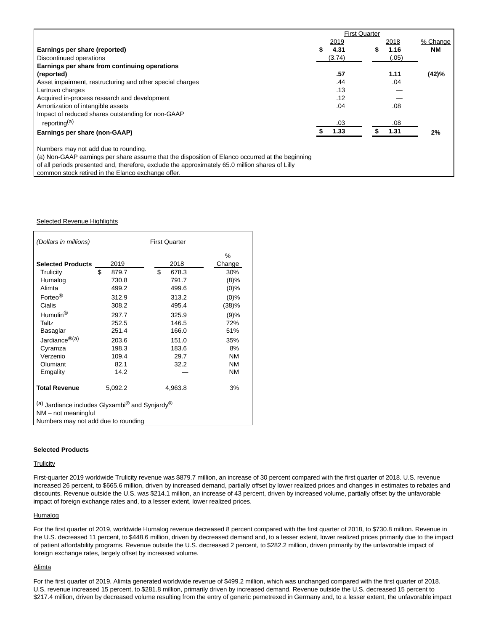|                                                                                                 |        | <b>First Quarter</b> |        |           |
|-------------------------------------------------------------------------------------------------|--------|----------------------|--------|-----------|
|                                                                                                 | 2019   |                      | 2018   | % Change  |
| Earnings per share (reported)                                                                   | 4.31   |                      | 1.16   | <b>NM</b> |
| Discontinued operations                                                                         | (3.74) |                      | (0.05) |           |
| Earnings per share from continuing operations                                                   |        |                      |        |           |
| (reported)                                                                                      | .57    |                      | 1.11   | (42)%     |
| Asset impairment, restructuring and other special charges                                       | .44    |                      | .04    |           |
| Lartruvo charges                                                                                | .13    |                      |        |           |
| Acquired in-process research and development                                                    | .12    |                      |        |           |
| Amortization of intangible assets                                                               | .04    |                      | .08    |           |
| Impact of reduced shares outstanding for non-GAAP                                               |        |                      |        |           |
| reporting <sup>(a)</sup>                                                                        | .03    |                      | .08    |           |
| Earnings per share (non-GAAP)                                                                   | 1.33   |                      | 1.31   | 2%        |
| Numbers may not add due to rounding.                                                            |        |                      |        |           |
| (a) Non-GAAP earnings per share assume that the disposition of Elanco occurred at the beginning |        |                      |        |           |
| of all periods presented and, therefore, exclude the approximately 65.0 million shares of Lilly |        |                      |        |           |
| common stock retired in the Elanco exchange offer.                                              |        |                      |        |           |

# Selected Revenue Highlights

| (Dollars in millions)                                                  |             | <b>First Quarter</b> |           |  |  |  |  |
|------------------------------------------------------------------------|-------------|----------------------|-----------|--|--|--|--|
|                                                                        |             |                      | %         |  |  |  |  |
| <b>Selected Products</b>                                               | 2019        | 2018                 | Change    |  |  |  |  |
| Trulicity                                                              | \$<br>879.7 | \$<br>678.3          | 30%       |  |  |  |  |
| Humalog                                                                | 730.8       | 791.7                | (8)%      |  |  |  |  |
| Alimta                                                                 | 499.2       | 499.6                | $(0)\%$   |  |  |  |  |
| Forteo <sup>®</sup>                                                    | 312.9       | 313.2                | $(0)\%$   |  |  |  |  |
| Cialis                                                                 | 308.2       | 495.4                | (38)%     |  |  |  |  |
| Humulin <sup>®</sup>                                                   | 297.7       | 325.9                | (9)%      |  |  |  |  |
| Taltz                                                                  | 252.5       | 146.5                | 72%       |  |  |  |  |
| Basaglar                                                               | 251.4       | 166.0                | 51%       |  |  |  |  |
| Jardiance <sup>®(a)</sup>                                              | 203.6       | 151.0                | 35%       |  |  |  |  |
| Cyramza                                                                | 198.3       | 183.6                | 8%        |  |  |  |  |
| Verzenio                                                               | 109.4       | 29.7                 | ΝM        |  |  |  |  |
| Olumiant                                                               | 82.1        | 32.2                 | <b>NM</b> |  |  |  |  |
| Emgality                                                               | 14.2        |                      | ΝM        |  |  |  |  |
| <b>Total Revenue</b>                                                   | 5,092.2     | 4,963.8              | 3%        |  |  |  |  |
| (a) Jardiance includes Glyxambi <sup>®</sup> and Synjardy <sup>®</sup> |             |                      |           |  |  |  |  |
| NM - not meaningful                                                    |             |                      |           |  |  |  |  |
| Numbers may not add due to rounding                                    |             |                      |           |  |  |  |  |

#### **Selected Products**

# **Trulicity**

First-quarter 2019 worldwide Trulicity revenue was \$879.7 million, an increase of 30 percent compared with the first quarter of 2018. U.S. revenue increased 26 percent, to \$665.6 million, driven by increased demand, partially offset by lower realized prices and changes in estimates to rebates and discounts. Revenue outside the U.S. was \$214.1 million, an increase of 43 percent, driven by increased volume, partially offset by the unfavorable impact of foreign exchange rates and, to a lesser extent, lower realized prices.

# **Humalog**

For the first quarter of 2019, worldwide Humalog revenue decreased 8 percent compared with the first quarter of 2018, to \$730.8 million. Revenue in the U.S. decreased 11 percent, to \$448.6 million, driven by decreased demand and, to a lesser extent, lower realized prices primarily due to the impact of patient affordability programs. Revenue outside the U.S. decreased 2 percent, to \$282.2 million, driven primarily by the unfavorable impact of foreign exchange rates, largely offset by increased volume.

# **Alimta**

For the first quarter of 2019, Alimta generated worldwide revenue of \$499.2 million, which was unchanged compared with the first quarter of 2018. U.S. revenue increased 15 percent, to \$281.8 million, primarily driven by increased demand. Revenue outside the U.S. decreased 15 percent to \$217.4 million, driven by decreased volume resulting from the entry of generic pemetrexed in Germany and, to a lesser extent, the unfavorable impact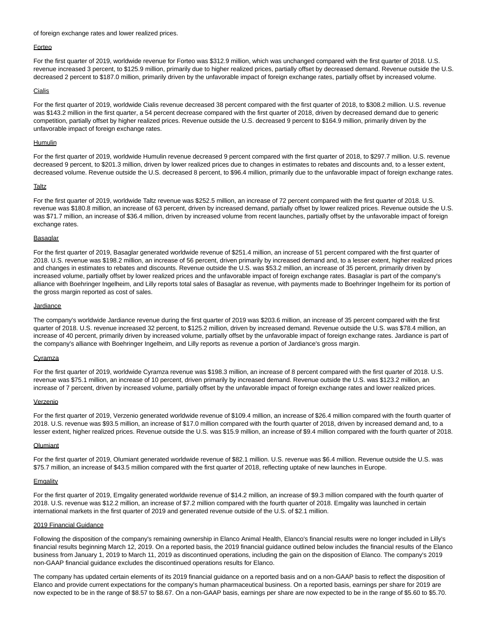### of foreign exchange rates and lower realized prices.

### Forteo

For the first quarter of 2019, worldwide revenue for Forteo was \$312.9 million, which was unchanged compared with the first quarter of 2018. U.S. revenue increased 3 percent, to \$125.9 million, primarily due to higher realized prices, partially offset by decreased demand. Revenue outside the U.S. decreased 2 percent to \$187.0 million, primarily driven by the unfavorable impact of foreign exchange rates, partially offset by increased volume.

# Cialis

For the first quarter of 2019, worldwide Cialis revenue decreased 38 percent compared with the first quarter of 2018, to \$308.2 million. U.S. revenue was \$143.2 million in the first quarter, a 54 percent decrease compared with the first quarter of 2018, driven by decreased demand due to generic competition, partially offset by higher realized prices. Revenue outside the U.S. decreased 9 percent to \$164.9 million, primarily driven by the unfavorable impact of foreign exchange rates.

# Humulin

For the first quarter of 2019, worldwide Humulin revenue decreased 9 percent compared with the first quarter of 2018, to \$297.7 million. U.S. revenue decreased 9 percent, to \$201.3 million, driven by lower realized prices due to changes in estimates to rebates and discounts and, to a lesser extent, decreased volume. Revenue outside the U.S. decreased 8 percent, to \$96.4 million, primarily due to the unfavorable impact of foreign exchange rates.

#### **Taltz**

For the first quarter of 2019, worldwide Taltz revenue was \$252.5 million, an increase of 72 percent compared with the first quarter of 2018. U.S. revenue was \$180.8 million, an increase of 63 percent, driven by increased demand, partially offset by lower realized prices. Revenue outside the U.S. was \$71.7 million, an increase of \$36.4 million, driven by increased volume from recent launches, partially offset by the unfavorable impact of foreign exchange rates.

### **Basaglar**

For the first quarter of 2019, Basaglar generated worldwide revenue of \$251.4 million, an increase of 51 percent compared with the first quarter of 2018. U.S. revenue was \$198.2 million, an increase of 56 percent, driven primarily by increased demand and, to a lesser extent, higher realized prices and changes in estimates to rebates and discounts. Revenue outside the U.S. was \$53.2 million, an increase of 35 percent, primarily driven by increased volume, partially offset by lower realized prices and the unfavorable impact of foreign exchange rates. Basaglar is part of the company's alliance with Boehringer Ingelheim, and Lilly reports total sales of Basaglar as revenue, with payments made to Boehringer Ingelheim for its portion of the gross margin reported as cost of sales.

### Jardiance

The company's worldwide Jardiance revenue during the first quarter of 2019 was \$203.6 million, an increase of 35 percent compared with the first quarter of 2018. U.S. revenue increased 32 percent, to \$125.2 million, driven by increased demand. Revenue outside the U.S. was \$78.4 million, an increase of 40 percent, primarily driven by increased volume, partially offset by the unfavorable impact of foreign exchange rates. Jardiance is part of the company's alliance with Boehringer Ingelheim, and Lilly reports as revenue a portion of Jardiance's gross margin.

### **Cyramza**

For the first quarter of 2019, worldwide Cyramza revenue was \$198.3 million, an increase of 8 percent compared with the first quarter of 2018. U.S. revenue was \$75.1 million, an increase of 10 percent, driven primarily by increased demand. Revenue outside the U.S. was \$123.2 million, an increase of 7 percent, driven by increased volume, partially offset by the unfavorable impact of foreign exchange rates and lower realized prices.

### Verzenio

For the first quarter of 2019, Verzenio generated worldwide revenue of \$109.4 million, an increase of \$26.4 million compared with the fourth quarter of 2018. U.S. revenue was \$93.5 million, an increase of \$17.0 million compared with the fourth quarter of 2018, driven by increased demand and, to a lesser extent, higher realized prices. Revenue outside the U.S. was \$15.9 million, an increase of \$9.4 million compared with the fourth quarter of 2018.

### **Olumiant**

For the first quarter of 2019, Olumiant generated worldwide revenue of \$82.1 million. U.S. revenue was \$6.4 million. Revenue outside the U.S. was \$75.7 million, an increase of \$43.5 million compared with the first quarter of 2018, reflecting uptake of new launches in Europe.

### **Emgality**

For the first quarter of 2019, Emgality generated worldwide revenue of \$14.2 million, an increase of \$9.3 million compared with the fourth quarter of 2018. U.S. revenue was \$12.2 million, an increase of \$7.2 million compared with the fourth quarter of 2018. Emgality was launched in certain international markets in the first quarter of 2019 and generated revenue outside of the U.S. of \$2.1 million.

# 2019 Financial Guidance

Following the disposition of the company's remaining ownership in Elanco Animal Health, Elanco's financial results were no longer included in Lilly's financial results beginning March 12, 2019. On a reported basis, the 2019 financial guidance outlined below includes the financial results of the Elanco business from January 1, 2019 to March 11, 2019 as discontinued operations, including the gain on the disposition of Elanco. The company's 2019 non-GAAP financial guidance excludes the discontinued operations results for Elanco.

The company has updated certain elements of its 2019 financial guidance on a reported basis and on a non-GAAP basis to reflect the disposition of Elanco and provide current expectations for the company's human pharmaceutical business. On a reported basis, earnings per share for 2019 are now expected to be in the range of \$8.57 to \$8.67. On a non-GAAP basis, earnings per share are now expected to be in the range of \$5.60 to \$5.70.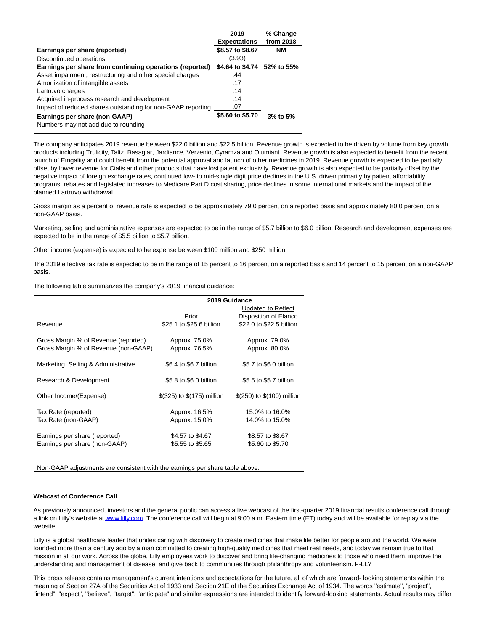|                                                             | 2019<br><b>Expectations</b> | % Change<br>from 2018 |
|-------------------------------------------------------------|-----------------------------|-----------------------|
| Earnings per share (reported)                               | \$8.57 to \$8.67            | NΜ                    |
| Discontinued operations                                     | (3.93)                      |                       |
| Earnings per share from continuing operations (reported)    | \$4.64 to \$4.74 52% to 55% |                       |
| Asset impairment, restructuring and other special charges   | .44                         |                       |
| Amortization of intangible assets                           | .17                         |                       |
| Lartruvo charges                                            | .14                         |                       |
| Acquired in-process research and development                | .14                         |                       |
| Impact of reduced shares outstanding for non-GAAP reporting | .07                         |                       |
| Earnings per share (non-GAAP)                               | \$5.60 to \$5.70            | $3%$ to $5%$          |
| Numbers may not add due to rounding                         |                             |                       |

The company anticipates 2019 revenue between \$22.0 billion and \$22.5 billion. Revenue growth is expected to be driven by volume from key growth products including Trulicity, Taltz, Basaglar, Jardiance, Verzenio, Cyramza and Olumiant. Revenue growth is also expected to benefit from the recent launch of Emgality and could benefit from the potential approval and launch of other medicines in 2019. Revenue growth is expected to be partially offset by lower revenue for Cialis and other products that have lost patent exclusivity. Revenue growth is also expected to be partially offset by the negative impact of foreign exchange rates, continued low- to mid-single digit price declines in the U.S. driven primarily by patient affordability programs, rebates and legislated increases to Medicare Part D cost sharing, price declines in some international markets and the impact of the planned Lartruvo withdrawal.

Gross margin as a percent of revenue rate is expected to be approximately 79.0 percent on a reported basis and approximately 80.0 percent on a non-GAAP basis.

Marketing, selling and administrative expenses are expected to be in the range of \$5.7 billion to \$6.0 billion. Research and development expenses are expected to be in the range of \$5.5 billion to \$5.7 billion.

Other income (expense) is expected to be expense between \$100 million and \$250 million.

The 2019 effective tax rate is expected to be in the range of 15 percent to 16 percent on a reported basis and 14 percent to 15 percent on a non-GAAP basis.

The following table summarizes the company's 2019 financial guidance:

|                                                                              | 2019 Guidance                |                            |  |  |  |  |  |  |
|------------------------------------------------------------------------------|------------------------------|----------------------------|--|--|--|--|--|--|
|                                                                              |                              | Updated to Reflect         |  |  |  |  |  |  |
|                                                                              | Prior                        | Disposition of Elanco      |  |  |  |  |  |  |
| Revenue                                                                      | \$25.1 to \$25.6 billion     | \$22.0 to \$22.5 billion   |  |  |  |  |  |  |
| Gross Margin % of Revenue (reported)                                         | Approx. 75.0%                | Approx. 79.0%              |  |  |  |  |  |  |
| Gross Margin % of Revenue (non-GAAP)                                         | Approx. 76.5%                | Approx. 80.0%              |  |  |  |  |  |  |
| Marketing, Selling & Administrative                                          | \$6.4 to \$6.7 billion       | \$5.7 to \$6.0 billion     |  |  |  |  |  |  |
| Research & Development                                                       | \$5.8 to \$6.0 billion       | \$5.5 to \$5.7 billion     |  |  |  |  |  |  |
| Other Income/(Expense)                                                       | $$(325)$ to $$(175)$ million | \$(250) to \$(100) million |  |  |  |  |  |  |
| Tax Rate (reported)                                                          | Approx. 16.5%                | 15.0% to 16.0%             |  |  |  |  |  |  |
| Tax Rate (non-GAAP)                                                          | Approx. 15.0%                | 14.0% to 15.0%             |  |  |  |  |  |  |
| Earnings per share (reported)                                                | \$4.57 to \$4.67             | \$8.57 to \$8.67           |  |  |  |  |  |  |
| Earnings per share (non-GAAP)                                                | \$5.55 to \$5.65             | \$5.60 to \$5.70           |  |  |  |  |  |  |
| Non-GAAP adjustments are consistent with the earnings per share table above. |                              |                            |  |  |  |  |  |  |

### **Webcast of Conference Call**

As previously announced, investors and the general public can access a live webcast of the first-quarter 2019 financial results conference call through a link on Lilly's website a[t www.lilly.com.](https://c212.net/c/link/?t=0&l=en&o=2450138-1&h=3236858223&u=http%3A%2F%2Fwww.lilly.com%2F&a=www.lilly.com) The conference call will begin at 9:00 a.m. Eastern time (ET) today and will be available for replay via the website.

Lilly is a global healthcare leader that unites caring with discovery to create medicines that make life better for people around the world. We were founded more than a century ago by a man committed to creating high-quality medicines that meet real needs, and today we remain true to that mission in all our work. Across the globe, Lilly employees work to discover and bring life-changing medicines to those who need them, improve the understanding and management of disease, and give back to communities through philanthropy and volunteerism. F-LLY

This press release contains management's current intentions and expectations for the future, all of which are forward- looking statements within the meaning of Section 27A of the Securities Act of 1933 and Section 21E of the Securities Exchange Act of 1934. The words "estimate", "project", "intend", "expect", "believe", "target", "anticipate" and similar expressions are intended to identify forward-looking statements. Actual results may differ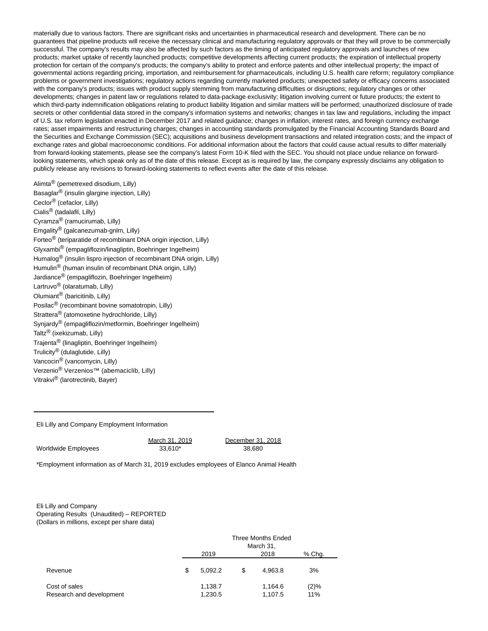materially due to various factors. There are significant risks and uncertainties in pharmaceutical research and development. There can be no guarantees that pipeline products will receive the necessary clinical and manufacturing regulatory approvals or that they will prove to be commercially successful. The company's results may also be affected by such factors as the timing of anticipated regulatory approvals and launches of new products; market uptake of recently launched products; competitive developments affecting current products; the expiration of intellectual property protection for certain of the company's products; the company's ability to protect and enforce patents and other intellectual property; the impact of governmental actions regarding pricing, importation, and reimbursement for pharmaceuticals, including U.S. health care reform; regulatory compliance problems or government investigations; regulatory actions regarding currently marketed products; unexpected safety or efficacy concerns associated with the company's products; issues with product supply stemming from manufacturing difficulties or disruptions; regulatory changes or other developments; changes in patent law or regulations related to data-package exclusivity; litigation involving current or future products; the extent to which third-party indemnification obligations relating to product liability litigation and similar matters will be performed; unauthorized disclosure of trade secrets or other confidential data stored in the company's information systems and networks; changes in tax law and regulations, including the impact of U.S. tax reform legislation enacted in December 2017 and related guidance; changes in inflation, interest rates, and foreign currency exchange rates; asset impairments and restructuring charges; changes in accounting standards promulgated by the Financial Accounting Standards Board and the Securities and Exchange Commission (SEC); acquisitions and business development transactions and related integration costs; and the impact of exchange rates and global macroeconomic conditions. For additional information about the factors that could cause actual results to differ materially from forward-looking statements, please see the company's latest Form 10-K filed with the SEC. You should not place undue reliance on forwardlooking statements, which speak only as of the date of this release. Except as is required by law, the company expressly disclaims any obligation to publicly release any revisions to forward-looking statements to reflect events after the date of this release.

Alimta® (pemetrexed disodium, Lilly) Basaglar® (insulin glargine injection, Lilly) Ceclor® (cefaclor, Lilly) Cialis® (tadalafil, Lilly) Cyramza® (ramucirumab, Lilly) Emgality® (galcanezumab-gnlm, Lilly) Forteo® (teriparatide of recombinant DNA origin injection, Lilly) Glyxambi® (empagliflozin/linagliptin, Boehringer Ingelheim) Humalog<sup>®</sup> (insulin lispro injection of recombinant DNA origin, Lilly) Humulin® (human insulin of recombinant DNA origin, Lilly) Jardiance® (empagliflozin, Boehringer Ingelheim) Lartruvo® (olaratumab, Lilly) Olumiant® (baricitinib, Lilly) Posilac<sup>®</sup> (recombinant bovine somatotropin, Lilly) Strattera<sup>®</sup> (atomoxetine hydrochloride, Lilly) Synjardy® (empagliflozin/metformin, Boehringer Ingelheim) Taltz® (ixekizumab, Lilly) Trajenta® (linagliptin, Boehringer Ingelheim) Trulicity® (dulaglutide, Lilly) Vancocin® (vancomycin, Lilly) Verzenio® Verzenios™ (abemaciclib, Lilly) Vitrakvi® (larotrectinib, Bayer)

Eli Lilly and Company Employment Information

Worldwide Employees 33,610\* 33,610\* 38,680

March 31, 2019 December 31, 2018

\*Employment information as of March 31, 2019 excludes employees of Elanco Animal Health

Eli Lilly and Company Operating Results (Unaudited) – REPORTED (Dollars in millions, except per share data)

|                                           | Three Months Ended<br>March 31, |        |                    |             |  |  |  |  |
|-------------------------------------------|---------------------------------|--------|--------------------|-------------|--|--|--|--|
|                                           | 2019                            | % Chq. |                    |             |  |  |  |  |
| Revenue                                   | \$<br>5.092.2                   | S      | 4.963.8            | 3%          |  |  |  |  |
| Cost of sales<br>Research and development | 1,138.7<br>1,230.5              |        | 1,164.6<br>1,107.5 | (2)%<br>11% |  |  |  |  |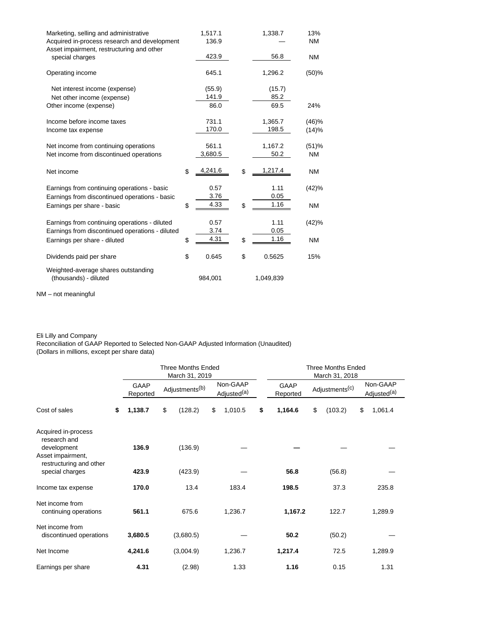| Marketing, selling and administrative<br>Acquired in-process research and development<br>Asset impairment, restructuring and other | 1,517.1<br>136.9           | 1,338.7                    | 13%<br><b>NM</b>   |
|------------------------------------------------------------------------------------------------------------------------------------|----------------------------|----------------------------|--------------------|
| special charges                                                                                                                    | 423.9                      | 56.8                       | <b>NM</b>          |
| Operating income                                                                                                                   | 645.1                      | 1,296.2                    | (50)%              |
| Net interest income (expense)<br>Net other income (expense)<br>Other income (expense)                                              | (55.9)<br>141.9<br>86.0    | (15.7)<br>85.2<br>69.5     | 24%                |
| Income before income taxes<br>Income tax expense                                                                                   | 731.1<br>170.0             | 1,365.7<br>198.5           | (46)%<br>(14)%     |
| Net income from continuing operations<br>Net income from discontinued operations                                                   | 561.1<br>3,680.5           | 1,167.2<br>50.2            | (51)%<br><b>NM</b> |
| Net income                                                                                                                         | \$<br>4,241.6              | \$<br>1,217.4              | <b>NM</b>          |
| Earnings from continuing operations - basic<br>Earnings from discontinued operations - basic<br>Earnings per share - basic         | \$<br>0.57<br>3.76<br>4.33 | \$<br>1.11<br>0.05<br>1.16 | (42)%<br><b>NM</b> |
| Earnings from continuing operations - diluted<br>Earnings from discontinued operations - diluted                                   | 0.57<br>3.74               | 1.11<br>0.05               | (42)%              |
| Earnings per share - diluted                                                                                                       | \$<br>4.31                 | \$<br>1.16                 | <b>NM</b>          |
| Dividends paid per share                                                                                                           | \$<br>0.645                | \$<br>0.5625               | 15%                |
| Weighted-average shares outstanding<br>(thousands) - diluted                                                                       | 984,001                    | 1,049,839                  |                    |

NM – not meaningful

### Eli Lilly and Company

Reconciliation of GAAP Reported to Selected Non-GAAP Adjusted Information (Unaudited) (Dollars in millions, except per share data)

|                                                                 | <b>Three Months Ended</b><br>March 31, 2019 |                            |           |                                     |         |    | <b>Three Months Ended</b><br>March 31, 2018 |                            |         |    |                                     |  |
|-----------------------------------------------------------------|---------------------------------------------|----------------------------|-----------|-------------------------------------|---------|----|---------------------------------------------|----------------------------|---------|----|-------------------------------------|--|
|                                                                 | GAAP<br>Reported                            | Adjustments <sup>(b)</sup> |           | Non-GAAP<br>Adjusted <sup>(a)</sup> |         |    | <b>GAAP</b><br>Reported                     | Adjustments <sup>(c)</sup> |         |    | Non-GAAP<br>Adjusted <sup>(a)</sup> |  |
| Cost of sales                                                   | \$<br>1,138.7                               | \$                         | (128.2)   | \$                                  | 1,010.5 | \$ | 1,164.6                                     | \$                         | (103.2) | \$ | 1,061.4                             |  |
| Acquired in-process<br>research and<br>development              | 136.9                                       |                            | (136.9)   |                                     |         |    |                                             |                            |         |    |                                     |  |
| Asset impairment,<br>restructuring and other<br>special charges | 423.9                                       |                            | (423.9)   |                                     |         |    | 56.8                                        |                            | (56.8)  |    |                                     |  |
| Income tax expense                                              | 170.0                                       |                            | 13.4      |                                     | 183.4   |    | 198.5                                       |                            | 37.3    |    | 235.8                               |  |
| Net income from<br>continuing operations                        | 561.1                                       |                            | 675.6     |                                     | 1,236.7 |    | 1,167.2                                     |                            | 122.7   |    | 1,289.9                             |  |
| Net income from<br>discontinued operations                      | 3,680.5                                     |                            | (3,680.5) |                                     |         |    | 50.2                                        |                            | (50.2)  |    |                                     |  |
| Net Income                                                      | 4,241.6                                     |                            | (3,004.9) |                                     | 1,236.7 |    | 1,217.4                                     |                            | 72.5    |    | 1,289.9                             |  |
| Earnings per share                                              | 4.31                                        |                            | (2.98)    |                                     | 1.33    |    | 1.16                                        |                            | 0.15    |    | 1.31                                |  |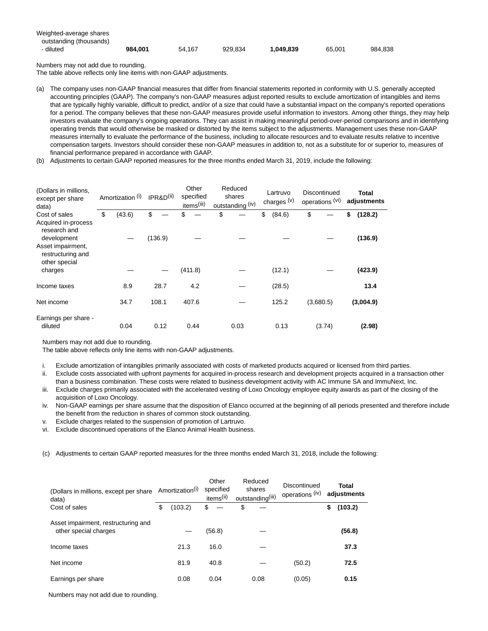| Weighted-average shares |         |        |         |           |        |         |
|-------------------------|---------|--------|---------|-----------|--------|---------|
| outstanding (thousands) |         |        |         |           |        |         |
| - diluted               | 984.001 | 54.167 | 929.834 | 1.049.839 | 65.001 | 984.838 |

Numbers may not add due to rounding.

The table above reflects only line items with non-GAAP adjustments.

- (a) The company uses non-GAAP financial measures that differ from financial statements reported in conformity with U.S. generally accepted accounting principles (GAAP). The company's non-GAAP measures adjust reported results to exclude amortization of intangibles and items that are typically highly variable, difficult to predict, and/or of a size that could have a substantial impact on the company's reported operations for a period. The company believes that these non-GAAP measures provide useful information to investors. Among other things, they may help investors evaluate the company's ongoing operations. They can assist in making meaningful period-over-period comparisons and in identifying operating trends that would otherwise be masked or distorted by the items subject to the adjustments. Management uses these non-GAAP measures internally to evaluate the performance of the business, including to allocate resources and to evaluate results relative to incentive compensation targets. Investors should consider these non-GAAP measures in addition to, not as a substitute for or superior to, measures of financial performance prepared in accordance with GAAP.
- (b) Adjustments to certain GAAP reported measures for the three months ended March 31, 2019, include the following:

| (Dollars in millions,<br>except per share<br>data)                     | Amortization (i)<br>IPR&D <sup>(ii)</sup> |    |         | Other<br>specified<br>items <sup>(iii)</sup> |         | Reduced<br>shares<br>outstanding (iv) |      |    | Lartruvo<br>charges $(v)$ | Discontinued<br>operations (vi) |           |    | Total<br>adjustments |  |  |
|------------------------------------------------------------------------|-------------------------------------------|----|---------|----------------------------------------------|---------|---------------------------------------|------|----|---------------------------|---------------------------------|-----------|----|----------------------|--|--|
| Cost of sales<br>Acquired in-process<br>research and                   | \$<br>(43.6)                              | \$ |         | \$                                           |         | \$                                    |      | \$ | (84.6)                    | \$                              |           | \$ | (128.2)              |  |  |
| development<br>Asset impairment,<br>restructuring and<br>other special |                                           |    | (136.9) |                                              |         |                                       |      |    |                           |                                 |           |    | (136.9)              |  |  |
| charges                                                                |                                           |    |         |                                              | (411.8) |                                       |      |    | (12.1)                    |                                 |           |    | (423.9)              |  |  |
| Income taxes                                                           | 8.9                                       |    | 28.7    |                                              | 4.2     |                                       |      |    | (28.5)                    |                                 |           |    | 13.4                 |  |  |
| Net income                                                             | 34.7                                      |    | 108.1   |                                              | 407.6   |                                       |      |    | 125.2                     |                                 | (3,680.5) |    | (3,004.9)            |  |  |
| Earnings per share -<br>diluted                                        | 0.04                                      |    | 0.12    |                                              | 0.44    |                                       | 0.03 |    | 0.13                      |                                 | (3.74)    |    | (2.98)               |  |  |

Numbers may not add due to rounding.

The table above reflects only line items with non-GAAP adjustments.

- i. Exclude amortization of intangibles primarily associated with costs of marketed products acquired or licensed from third parties.
- ii. Exclude costs associated with upfront payments for acquired in-process research and development projects acquired in a transaction other than a business combination. These costs were related to business development activity with AC Immune SA and ImmuNext, Inc.
- iii. Exclude charges primarily associated with the accelerated vesting of Loxo Oncology employee equity awards as part of the closing of the acquisition of Loxo Oncology.
- iv. Non-GAAP earnings per share assume that the disposition of Elanco occurred at the beginning of all periods presented and therefore include the benefit from the reduction in shares of common stock outstanding.
- v. Exclude charges related to the suspension of promotion of Lartruvo.
- vi. Exclude discontinued operations of the Elanco Animal Health business.

(c) Adjustments to certain GAAP reported measures for the three months ended March 31, 2018, include the following:

| (Dollars in millions, except per share<br>data)              | Amortization <sup>(i)</sup> |         | Other<br>specified<br>items <sup>(ii)</sup> |        | Reduced<br>shares<br>outstanding <sup>(iii)</sup> | Discontinued<br>operations (iv) |        | Total<br>adjustments |         |  |
|--------------------------------------------------------------|-----------------------------|---------|---------------------------------------------|--------|---------------------------------------------------|---------------------------------|--------|----------------------|---------|--|
| Cost of sales                                                | \$                          | (103.2) | \$                                          |        | \$                                                |                                 |        | \$                   | (103.2) |  |
| Asset impairment, restructuring and<br>other special charges |                             |         |                                             | (56.8) |                                                   |                                 |        |                      | (56.8)  |  |
| Income taxes                                                 |                             | 21.3    |                                             | 16.0   |                                                   |                                 |        |                      | 37.3    |  |
| Net income                                                   |                             | 81.9    |                                             | 40.8   |                                                   |                                 | (50.2) |                      | 72.5    |  |
| Earnings per share                                           |                             | 0.08    |                                             | 0.04   | 0.08                                              |                                 | (0.05) |                      | 0.15    |  |

Numbers may not add due to rounding.